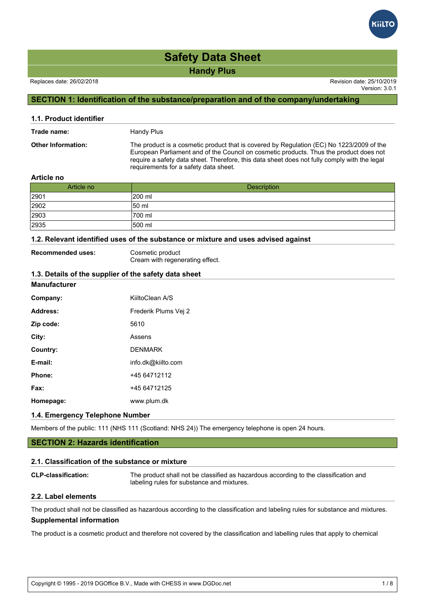### Replaces date: 26/02/2018 Revision date: 25/10/2019

Version: 3.0.1

### **SECTION 1: Identification of the substance/preparation and of the company/undertaking**

| 1.1. Product identifier   |                                                                                                                                                                                                                                                                                                                             |
|---------------------------|-----------------------------------------------------------------------------------------------------------------------------------------------------------------------------------------------------------------------------------------------------------------------------------------------------------------------------|
| Trade name:               | Handy Plus                                                                                                                                                                                                                                                                                                                  |
| <b>Other Information:</b> | The product is a cosmetic product that is covered by Regulation (EC) No 1223/2009 of the<br>European Parliament and of the Council on cosmetic products. Thus the product does not<br>require a safety data sheet. Therefore, this data sheet does not fully comply with the legal<br>requirements for a safety data sheet. |
| $A = 1 - 1 - 1$           |                                                                                                                                                                                                                                                                                                                             |

### **Article no**

| Article no | Description |
|------------|-------------|
| 2901       | 1200 ml     |
| 2902       | 150 ml      |
| 2903       | 1700 ml     |
| 2935       | 1500 ml     |

### **1.2. Relevant identified uses of the substance or mixture and uses advised against**

| <b>Recommended uses:</b> | Cosmetic product                |
|--------------------------|---------------------------------|
|                          | Cream with regenerating effect. |

### **1.3. Details of the supplier of the safety data sheet**

| <b>Manufacturer</b> |                      |
|---------------------|----------------------|
| Company:            | KiiltoClean A/S      |
| Address:            | Frederik Plums Vej 2 |
| Zip code:           | 5610                 |
| City:               | Assens               |
| Country:            | <b>DENMARK</b>       |
| E-mail:             | info.dk@kiilto.com   |
| Phone:              | +45 64712112         |
| Fax:                | +45 64712125         |
| Homepage:           | www.plum.dk          |

### **1.4. Emergency Telephone Number**

Members of the public: 111 (NHS 111 (Scotland: NHS 24)) The emergency telephone is open 24 hours.

### **SECTION 2: Hazards identification**

### **2.1. Classification of the substance or mixture**

**CLP-classification:** The product shall not be classified as hazardous according to the classification and labeling rules for substance and mixtures.

### **2.2. Label elements**

The product shall not be classified as hazardous according to the classification and labeling rules for substance and mixtures. **Supplemental information**

The product is a cosmetic product and therefore not covered by the classification and labelling rules that apply to chemical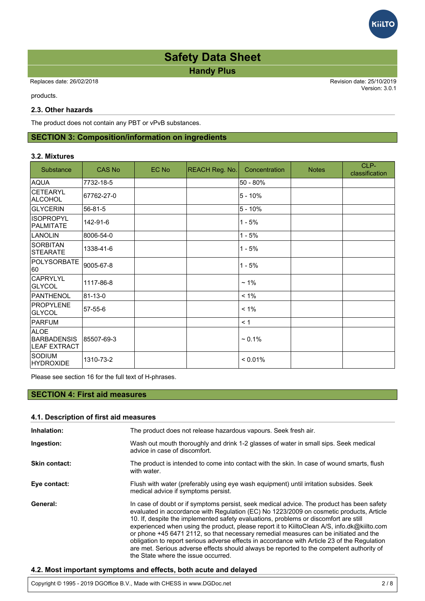# **iilT**

# **Handy Plus Safety Data Sheet**

 Replaces date: 26/02/2018 Revision date: 25/10/2019 Version: 3.0.1 The product and therefore not covered by the covered by the classification and labelling rules that apply to chemical by the chemical rules that apply to chemical rules that apply to chemical rules that apply to chemical

products.

### **2.3. Other hazards**

The product does not contain any PBT or vPvB substances.

## **SECTION 3: Composition/information on ingredients**

### **3.2. Mixtures**

| Substance                                                | <b>CAS No</b> | EC No | <b>REACH Reg. No.</b> | Concentration | <b>Notes</b> | CLP-<br>classification |
|----------------------------------------------------------|---------------|-------|-----------------------|---------------|--------------|------------------------|
| <b>AQUA</b>                                              | 7732-18-5     |       |                       | 50 - 80%      |              |                        |
| CETEARYL<br>ALCOHOL                                      | 67762-27-0    |       |                       | $5 - 10%$     |              |                        |
| <b>GLYCERIN</b>                                          | 56-81-5       |       |                       | $5 - 10%$     |              |                        |
| <b>ISOPROPYL</b><br><b>PALMITATE</b>                     | 142-91-6      |       |                       | $1 - 5%$      |              |                        |
| <b>LANOLIN</b>                                           | 8006-54-0     |       |                       | $1 - 5%$      |              |                        |
| <b>SORBITAN</b><br>STEARATE                              | 1338-41-6     |       |                       | $1 - 5%$      |              |                        |
| POLYSORBATE<br>60                                        | 9005-67-8     |       |                       | $1 - 5%$      |              |                        |
| <b>CAPRYLYL</b><br>GLYCOL                                | 1117-86-8     |       |                       | $~1\%$        |              |                        |
| <b>PANTHENOL</b>                                         | 81-13-0       |       |                       | $< 1\%$       |              |                        |
| PROPYLENE<br><b>GLYCOL</b>                               | 57-55-6       |       |                       | $< 1\%$       |              |                        |
| PARFUM                                                   |               |       |                       | < 1           |              |                        |
| <b>ALOE</b><br><b>BARBADENSIS</b><br><b>LEAF EXTRACT</b> | 85507-69-3    |       |                       | $~1\%$        |              |                        |
| <b>SODIUM</b><br>HYDROXIDE                               | 1310-73-2     |       |                       | < 0.01%       |              |                        |

Please see section 16 for the full text of H-phrases.

### **SECTION 4: First aid measures**

### **4.1. Description of first aid measures**

| Inhalation:          | The product does not release hazardous vapours. Seek fresh air.                                                                                                                                                                                                                                                                                                                                                                                                                                                                                                                                                                                                                                        |
|----------------------|--------------------------------------------------------------------------------------------------------------------------------------------------------------------------------------------------------------------------------------------------------------------------------------------------------------------------------------------------------------------------------------------------------------------------------------------------------------------------------------------------------------------------------------------------------------------------------------------------------------------------------------------------------------------------------------------------------|
| Ingestion:           | Wash out mouth thoroughly and drink 1-2 glasses of water in small sips. Seek medical<br>advice in case of discomfort.                                                                                                                                                                                                                                                                                                                                                                                                                                                                                                                                                                                  |
| <b>Skin contact:</b> | The product is intended to come into contact with the skin. In case of wound smarts, flush<br>with water.                                                                                                                                                                                                                                                                                                                                                                                                                                                                                                                                                                                              |
| Eye contact:         | Flush with water (preferably using eye wash equipment) until irritation subsides. Seek<br>medical advice if symptoms persist.                                                                                                                                                                                                                                                                                                                                                                                                                                                                                                                                                                          |
| General:             | In case of doubt or if symptoms persist, seek medical advice. The product has been safety<br>evaluated in accordance with Regulation (EC) No 1223/2009 on cosmetic products, Article<br>10. If, despite the implemented safety evaluations, problems or discomfort are still<br>experienced when using the product, please report it to KiiltoClean A/S, info.dk@kiilto.com<br>or phone +45 6471 2112, so that necessary remedial measures can be initiated and the<br>obligation to report serious adverse effects in accordance with Article 23 of the Regulation<br>are met. Serious adverse effects should always be reported to the competent authority of<br>the State where the issue occurred. |

### **4.2. Most important symptoms and effects, both acute and delayed**

Copyright © 1995 - 2019 DGOffice B.V., Made with CHESS in www.DGDoc.net 2 / 8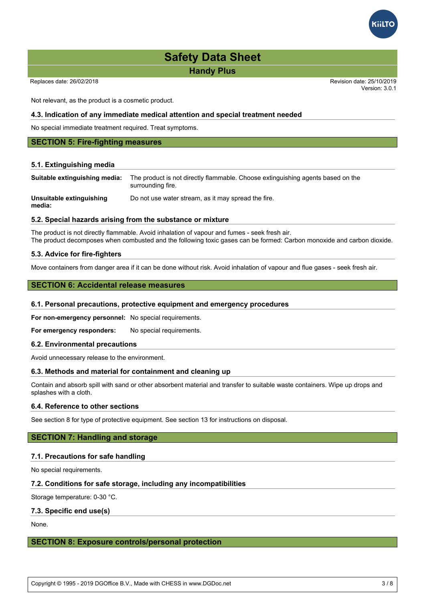Replaces date: 26/02/2018 Revision date: 25/10/2019

Version: 3.0.1

Not relevant, as the product is a cosmetic product.

### **4.3. Indication of any immediate medical attention and special treatment needed**

No special immediate treatment required. Treat symptoms.

### **SECTION 5: Fire-fighting measures**

### **5.1. Extinguishing media**

| Suitable extinguishing media:      | The product is not directly flammable. Choose extinguishing agents based on the<br>surrounding fire. |
|------------------------------------|------------------------------------------------------------------------------------------------------|
| Unsuitable extinguishing<br>media: | Do not use water stream, as it may spread the fire.                                                  |

### **5.2. Special hazards arising from the substance or mixture**

The product is not directly flammable. Avoid inhalation of vapour and fumes - seek fresh air. The product decomposes when combusted and the following toxic gases can be formed: Carbon monoxide and carbon dioxide.

### **5.3. Advice for fire-fighters**

Move containers from danger area if it can be done without risk. Avoid inhalation of vapour and flue gases - seek fresh air.

### **SECTION 6: Accidental release measures**

### **6.1. Personal precautions, protective equipment and emergency procedures**

**For non-emergency personnel:** No special requirements.

For emergency responders: No special requirements.

### **6.2. Environmental precautions**

Avoid unnecessary release to the environment.

### **6.3. Methods and material for containment and cleaning up**

Contain and absorb spill with sand or other absorbent material and transfer to suitable waste containers. Wipe up drops and splashes with a cloth.

### **6.4. Reference to other sections**

See section 8 for type of protective equipment. See section 13 for instructions on disposal.

### **SECTION 7: Handling and storage**

### **7.1. Precautions for safe handling**

No special requirements.

### **7.2. Conditions for safe storage, including any incompatibilities**

Storage temperature: 0-30 °C.

### **7.3. Specific end use(s)**

None.

### **SECTION 8: Exposure controls/personal protection**

Copyright © 1995 - 2019 DGOffice B.V., Made with CHESS in www.DGDoc.net 3 / 8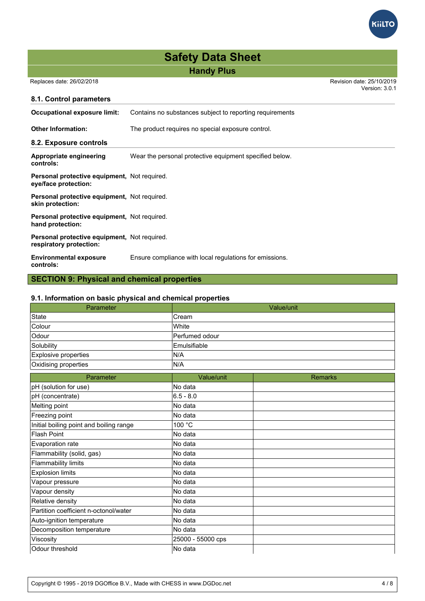Replaces date: 26/02/2018 Revision date: 25/10/2019 Version: 3.0.1

**KiiLTO** 

| 8.1. Control parameters                                                 |                                                          |
|-------------------------------------------------------------------------|----------------------------------------------------------|
| <b>Occupational exposure limit:</b>                                     | Contains no substances subject to reporting requirements |
| <b>Other Information:</b>                                               | The product requires no special exposure control.        |
| 8.2. Exposure controls                                                  |                                                          |
| Appropriate engineering<br>controls:                                    | Wear the personal protective equipment specified below.  |
| Personal protective equipment, Not required.<br>eye/face protection:    |                                                          |
| Personal protective equipment, Not required.<br>skin protection:        |                                                          |
| Personal protective equipment, Not required.<br>hand protection:        |                                                          |
| Personal protective equipment, Not required.<br>respiratory protection: |                                                          |
| <b>Environmental exposure</b><br>controls:                              | Ensure compliance with local regulations for emissions.  |
| <b>SECTION 9: Physical and chemical properties</b>                      |                                                          |

| 9.1. Information on basic physical and chemical properties |                       |  |  |
|------------------------------------------------------------|-----------------------|--|--|
| Parameter                                                  | Value/unit            |  |  |
| State                                                      | lCream                |  |  |
| Colour                                                     | lWhite                |  |  |
| <b>Odour</b>                                               | <b>Perfumed odour</b> |  |  |
| Solubility                                                 | Emulsifiable          |  |  |
| Explosive properties                                       | IN/A                  |  |  |
| Oxidising properties                                       | IN/A                  |  |  |

| Parameter                               | Value/unit        | <b>Remarks</b> |
|-----------------------------------------|-------------------|----------------|
| pH (solution for use)                   | No data           |                |
| pH (concentrate)                        | $6.5 - 8.0$       |                |
| Melting point                           | No data           |                |
| Freezing point                          | No data           |                |
| Initial boiling point and boiling range | 100 °C            |                |
| Flash Point                             | lNo data          |                |
| Evaporation rate                        | lNo data          |                |
| Flammability (solid, gas)               | No data           |                |
| Flammability limits                     | No data           |                |
| <b>Explosion limits</b>                 | No data           |                |
| Vapour pressure                         | No data           |                |
| Vapour density                          | No data           |                |
| Relative density                        | No data           |                |
| Partition coefficient n-octonol/water   | No data           |                |
| Auto-ignition temperature               | lNo data          |                |
| Decomposition temperature               | No data           |                |
| Viscosity                               | 25000 - 55000 cps |                |
| Odour threshold                         | lNo data          |                |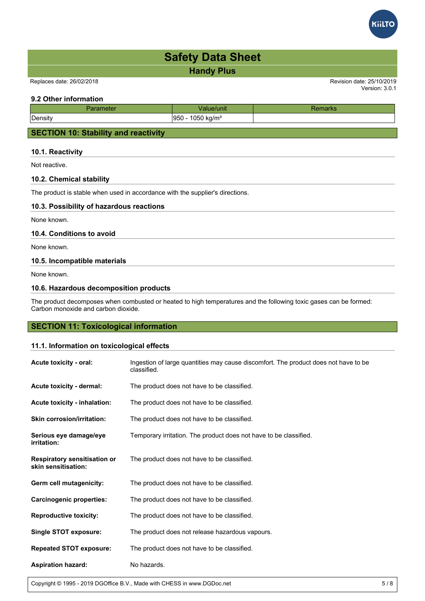



### **9.2 Other information**

| neter<br>ан | 'unit                      | uai No |
|-------------|----------------------------|--------|
| Density     | 1050 kg/ $m^3$<br>950<br>ີ |        |
|             |                            |        |

### **SECTION 10: Stability and reactivity**

### **10.1. Reactivity**

Not reactive.

### **10.2. Chemical stability**

The product is stable when used in accordance with the supplier's directions.

### **10.3. Possibility of hazardous reactions**

None known.

### **10.4. Conditions to avoid**

None known.

### **10.5. Incompatible materials**

None known.

### **10.6. Hazardous decomposition products**

The product decomposes when combusted or heated to high temperatures and the following toxic gases can be formed: Carbon monoxide and carbon dioxide.

### **SECTION 11: Toxicological information**

### **11.1. Information on toxicological effects**

| Acute toxicity - oral:                                     | Ingestion of large quantities may cause discomfort. The product does not have to be<br>classified. |
|------------------------------------------------------------|----------------------------------------------------------------------------------------------------|
| Acute toxicity - dermal:                                   | The product does not have to be classified.                                                        |
| Acute toxicity - inhalation:                               | The product does not have to be classified.                                                        |
| <b>Skin corrosion/irritation:</b>                          | The product does not have to be classified.                                                        |
| Serious eye damage/eye<br><i>irritation:</i>               | Temporary irritation. The product does not have to be classified.                                  |
| <b>Respiratory sensitisation or</b><br>skin sensitisation: | The product does not have to be classified.                                                        |
| Germ cell mutagenicity:                                    | The product does not have to be classified.                                                        |
| Carcinogenic properties:                                   | The product does not have to be classified.                                                        |
| <b>Reproductive toxicity:</b>                              | The product does not have to be classified.                                                        |
| <b>Single STOT exposure:</b>                               | The product does not release hazardous vapours.                                                    |
| <b>Repeated STOT exposure:</b>                             | The product does not have to be classified.                                                        |
| <b>Aspiration hazard:</b>                                  | No hazards.                                                                                        |

Copyright © 1995 - 2019 DGOffice B.V., Made with CHESS in www.DGDoc.net 5 / 8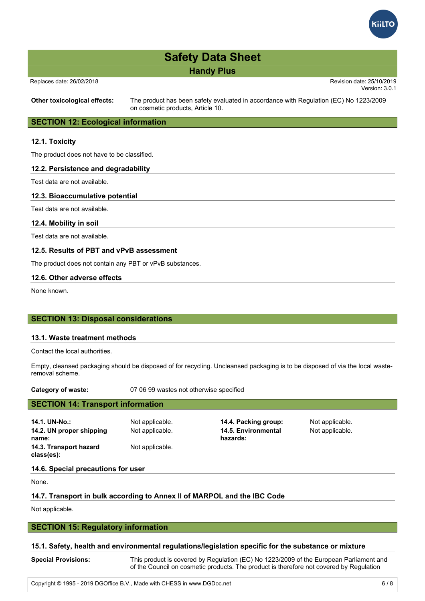

| <b>Safety Data Sheet</b> |  |  |  |  |
|--------------------------|--|--|--|--|
| <b>Handy Plus</b>        |  |  |  |  |

Replaces date: 26/02/2018 Revision date: 25/10/2019

Version: 3.0.1

**Other toxicological effects:** The product has been safety evaluated in accordance with Regulation (EC) No 1223/2009 on cosmetic products, Article 10.

### **SECTION 12: Ecological information**

### **12.1. Toxicity**

The product does not have to be classified.

### **12.2. Persistence and degradability**

Test data are not available.

### **12.3. Bioaccumulative potential**

Test data are not available.

**12.4. Mobility in soil**

Test data are not available.

### **12.5. Results of PBT and vPvB assessment**

The product does not contain any PBT or vPvB substances.

### **12.6. Other adverse effects**

None known.

### **SECTION 13: Disposal considerations**

### **13.1. Waste treatment methods**

Contact the local authorities.

Empty, cleansed packaging should be disposed of for recycling. Uncleansed packaging is to be disposed of via the local wasteremoval scheme.

**Category of waste:** 07 06 99 wastes not otherwise specified

| <b>SECTION 14: Transport information</b> |                                 |                 |  |  |  |
|------------------------------------------|---------------------------------|-----------------|--|--|--|
| Not applicable.                          | 14.4. Packing group:            | Not applicable. |  |  |  |
| Not applicable.                          | 14.5. Environmental<br>hazards: | Not applicable. |  |  |  |
| Not applicable.                          |                                 |                 |  |  |  |
|                                          |                                 |                 |  |  |  |

### **14.6. Special precautions for user**

None.

### **14.7. Transport in bulk according to Annex II of MARPOL and the IBC Code**

Not applicable.

### **SECTION 15: Regulatory information**

### **15.1. Safety, health and environmental regulations/legislation specific for the substance or mixture**

| <b>Special Provisions:</b> | This product is covered by Regulation (EC) No 1223/2009 of the European Parliament and  |
|----------------------------|-----------------------------------------------------------------------------------------|
|                            | of the Council on cosmetic products. The product is therefore not covered by Regulation |
|                            |                                                                                         |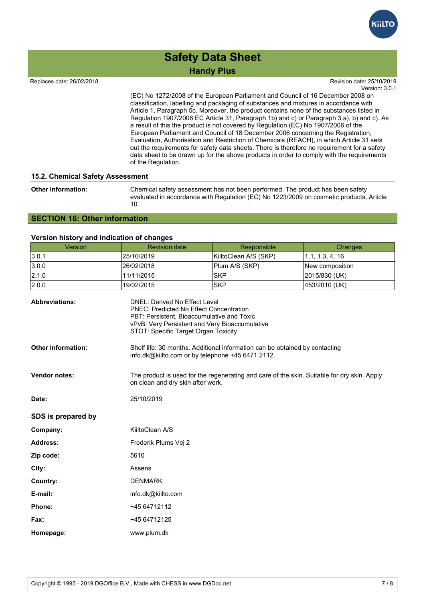

Replaces date: 26/02/2018

Version: 3.0.1 Revision date: 25/10/2019

of the Council on cosmetic products. The products is the products is the products. The products is the products (EC) No 1272/2008 of the European Parliament and Council of 16 December 2008 on classification, labelling and packaging of substances and mixtures in accordance with Article 1, Paragraph 5c. Moreover, the product contains none of the substances listed in Regulation 1907/2006 EC Article 31, Paragraph 1b) and c) or Paragraph 3 a), b) and c). As a result of this the product is not covered by Regulation (EC) No 1907/2006 of the European Parliament and Council of 18 December 2006 concerning the Registration, Evaluation, Authorisation and Restriction of Chemicals (REACH), in which Article 31 sets out the requirements for safety data sheets. There is therefore no requirement for a safety data sheet to be drawn up for the above products in order to comply with the requirements of the Regulation.

### **15.2. Chemical Safety Assessment**

| <b>Other Information:</b> | Chemical safety assessment has not been performed. The product has been safety<br>evaluated in accordance with Regulation (EC) No 1223/2009 on cosmetic products, Article<br>10. |
|---------------------------|----------------------------------------------------------------------------------------------------------------------------------------------------------------------------------|
|                           |                                                                                                                                                                                  |

### **SECTION 16: Other information**

### **Version history and indication of changes**

| Version                   | <b>Revision date</b>                                                                                                                                                                                                           | Responsible           | Changes         |  |  |
|---------------------------|--------------------------------------------------------------------------------------------------------------------------------------------------------------------------------------------------------------------------------|-----------------------|-----------------|--|--|
| 3.0.1                     | 25/10/2019                                                                                                                                                                                                                     | KiiltoClean A/S (SKP) | 1.1, 1.3, 4, 16 |  |  |
| 3.0.0                     | 26/02/2018                                                                                                                                                                                                                     | Plum A/S (SKP)        | New composition |  |  |
| 2.1.0                     | 11/11/2015                                                                                                                                                                                                                     | <b>SKP</b>            | 2015/830 (UK)   |  |  |
| 2.0.0                     | 19/02/2015                                                                                                                                                                                                                     | <b>SKP</b>            | 453/2010 (UK)   |  |  |
| <b>Abbreviations:</b>     | <b>DNEL: Derived No Effect Level</b><br><b>PNEC: Predicted No Effect Concentration</b><br>PBT: Persistent, Bioaccumulative and Toxic<br>vPvB: Very Persistent and Very Bioaccumulative<br>STOT: Specific Target Organ Toxicity |                       |                 |  |  |
| <b>Other Information:</b> | Shelf life: 30 months. Additional information can be obtained by contacting<br>info.dk@kiilto.com or by telephone +45 6471 2112.                                                                                               |                       |                 |  |  |
| <b>Vendor notes:</b>      | The product is used for the regenerating and care of the skin. Suitable for dry skin. Apply<br>on clean and dry skin after work.                                                                                               |                       |                 |  |  |
| Date:                     | 25/10/2019                                                                                                                                                                                                                     |                       |                 |  |  |
| SDS is prepared by        |                                                                                                                                                                                                                                |                       |                 |  |  |
| Company:                  | KiiltoClean A/S                                                                                                                                                                                                                |                       |                 |  |  |
| <b>Address:</b>           | Frederik Plums Vej 2                                                                                                                                                                                                           |                       |                 |  |  |
| Zip code:                 | 5610                                                                                                                                                                                                                           |                       |                 |  |  |
| City:                     | Assens                                                                                                                                                                                                                         |                       |                 |  |  |
| Country:                  | <b>DENMARK</b>                                                                                                                                                                                                                 |                       |                 |  |  |
| E-mail:                   | info.dk@kiilto.com                                                                                                                                                                                                             |                       |                 |  |  |
| Phone:                    | +45 64712112                                                                                                                                                                                                                   |                       |                 |  |  |
| Fax:                      | +45 64712125                                                                                                                                                                                                                   |                       |                 |  |  |
| Homepage:                 | www.plum.dk                                                                                                                                                                                                                    |                       |                 |  |  |